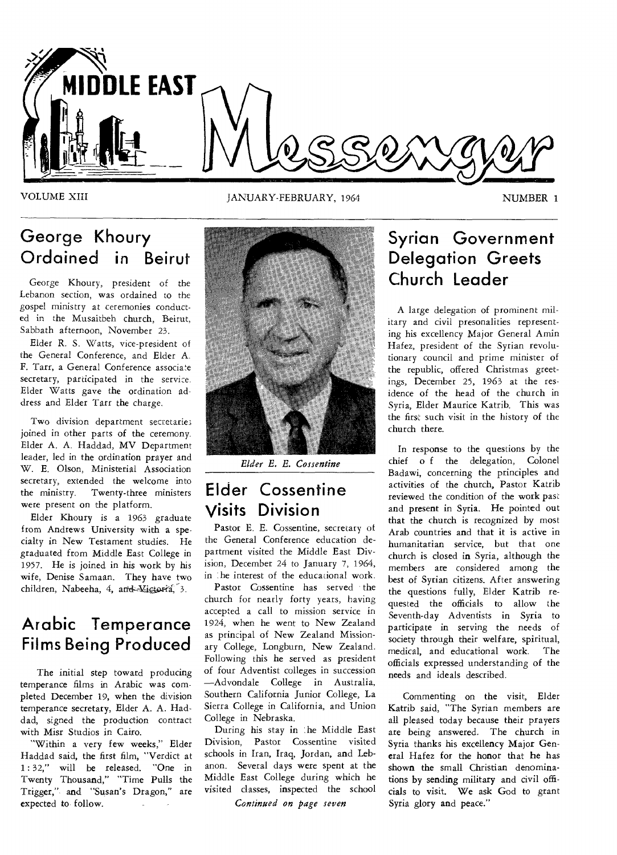

### VOLUME XIII JANUARY-FEBRUARY, 1964 NUMBER 1

## **George Khoury Ordained in Beirut**

George Khoury, president of the Lebanon section, was ordained to the gospel ministry at ceremonies conducted in the Musaitbeh church, Beirut, Sabbath afternoon, November 23.

Elder R. S. Watts, vice-president of the General Conference, and Elder A. F. Tarr, a General Conference associate secretary, participated in the service. Elder Watts gave the ordination address and Elder Tarr the charge.

Two division department secretaries joined in other parts of the ceremony. Elder A. A. Haddad, MV Department leader, led in the ordination prayer and W. E. Olson, Ministerial Association secretary, extended the welcome into the ministry. Twenty-three ministers were present on the platform.

Elder Khoury is a 1963 graduate from Andrews University with a specialty in New Testament studies. He graduated from Middle East College in 1957. He is joined in his work by his wife, Denise Samaan. They have two children, Nabeeha, 4, and Victoria, 3.

## **Arabic Temperance Films Being Produced**

The initial step toward producing temperance films in Arabic was completed December 19, when the division temperance secretary, Elder A. A. Haddad, signed the production contract with Misr Studios in Cairo.

"Within a very few weeks," Elder Haddad said, the first film, "Verdict at 1 : 32," will be released. "One in Twenty Thousand," "Time Pulls the Trigger," and "Susan's Dragon," are expected to follow.



*Elder E. E. Cossentine* 

## **Elder Cossentine Visits Division**

Pastor E. E. Cossentine, secretary of the General Conference education department visited the Middle East Division, December 24 to January 7, 1964, in the interest of the educational work.

Pastor Cossentine has served • the church for nearly forty years, having accepted a call to mission service in 1924, when he went to New Zealand as principal of New Zealand Missionary College, Longburn, New Zealand. Following this he served as president of four Adventist colleges in succession —Advondale College in Australia, Southern California Junior College, La Sierra College in California, and Union College in Nebraska.

During his stay in :he Middle East Division, Pastor Cossentine visited schools in Iran, Iraq, Jordan, and Lebanon. Several days were spent at the Middle East College during which he visited classes, inspected the school *Continued on page seven* 

## **Syrian Government Delegation Greets Church Leader**

A large delegation of prominent military and civil presonalities representing his excellency Major General Amin Hafez, president of the Syrian revolutionary council and prime minister of the republic, offered Christmas greetings, December 25, 1963 at the residence of the head of the church in Syria, Elder Maurice Katrib. This was the first such visit in the history of the church there.

In response to the questions by the chief o f the delegation, Colonel Badawi, concerning the principles and activities of the church, Pastor Katrib reviewed the condition of the work past and present in Syria. He pointed out that the church is recognized by most Arab countries and that it is active in humanitarian service, but that one church is closed in Syria, although the members are considered among the best of Syrian citizens. After answering the questions fully, Elder Katrib requested the officials to allow the Seventh-day Adventists in Syria to participate in serving the needs of society through their welfare, spiritual, medical, and educational work. The officials expressed understanding of the needs and ideals described.

Commenting on the visit, Elder Katrib said, "The Syrian members are all pleased today because their prayers are being answered. The church in Syria thanks his excellency Major General Hafez for the honor that he has shown the small Christian denominations by sending military and civil officials to visit. We ask God to grant Syria glory and peace."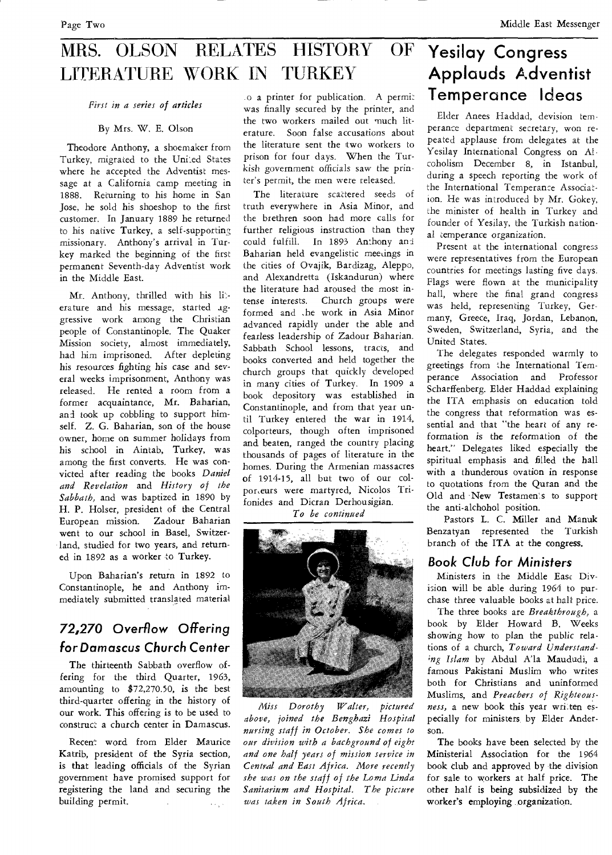## MRS. OLSON RELATES HISTORY OF LITERATURE WORK IN TURKEY

*First in a series of articles* 

By Mrs. W. E. Olson

Theodore Anthony, a shoemaker from Turkey, migrated to the United States where he accepted the Adventist message at a California camp meeting in 1888. Returning to his home in San Jose, he sold his shoeshop to the first customer. In January 1889 he returned to his native Turkey, a self-supporting missionary. Anthony's arrival in Turkey marked the beginning of the first permanent Seventh-day Adventist work in the Middle East.

Mr. Anthony, thrilled with his literature and his message, started aggressive work among the Christian people of Constantinople. The Quaker Mission society, almost immediately, had him imprisoned. After depleting his resources fighting his case and several weeks imprisonment, Anthony was released. He rented a room from a former acquaintance, Mr. Baharian, and took up cobbling to support himself. Z. G. Baharian, son of the house owner, home on summer holidays from his school in Aintab, Turkey, was among the first converts. He was convicted after reading the books *Daniel and Revelation* and *History of the Sabbath,* and was baptized in 1890 by H. P. Holser, president of the Central European mission. Zadour Baharian went to our school in Basel, Switzerland, studied for two years, and returned in 1892 as a worker to Turkey.

Upon Baharian's return in 1892 to Constantinople, he and Anthony immediately submitted translated material

## 72,270 Overflow Offering *for Damascus Church Center*

The thirteenth Sabbath overflow offering for the third Quarter, 1963, amounting to \$72,270.50, is the best third-quarter offering in the history of our work. This offering is to be used to construct a church center in Damascus.

Recent word from Elder Maurice Katrib, president of the Syria section, is that leading officials of the Syrian government have promised support for registering the land and securing the building permit.  $\bar{\lambda}$  ,  $\bar{\lambda}$ 

.o a printer for publication. A permit was finally secured by the printer, and the two workers mailed out much literature. Soon false accusations about the literature sent the two workers to prison for four days. When the Turkish government officials saw the printer's permit, the men were released.

The literature scattered seeds of truth everywhere in Asia Minor, and the brethren soon had more calls for further religious instruction than they could fulfill. In 1893 Anthony anti Baharian held evangelistic meetings in the cities of Ovajik, Bardizag, Aleppo, and Alexandretta (Iskandurun) where the literature had aroused the most intense interests. Church groups were formed and .he work in Asia Minor advanced rapidly under the able and fearless leadership of Zadour Baharian. Sabbath School lessons, tracts, and books converted and held together the church groups that quickly developed in many cities of Turkey. In 1909 a book depository was established in Constantinople, and from that year until Turkey entered the war in 1914, colporteurs, though often imprisoned and beaten, ranged the country placing thousands of pages of literature in the homes. During the Armenian massacres of 1914-15, all but two of our colpor,eurs were martyred, Nicolos Trifonides and Dicran Derhousigian.

*To be continued* 



*Miss Dorothy Walter, pictured above, joined the Benghazi Hospital nursing staff in October. She comes to our division with a bachground of eight and one half years of mission service in Central and East Africa. More recently she was on the staff of the Loma Linda Sanitarium and Hospital. The picture was taken in South Africa,* 

## **Yesilay Congress Applauds Adventist Temperance Ideas**

Elder Anees Haddad, devision temperance department secretary, won repeated applause from delegates at the Yesilay International Congress on Alcoholism December 8, in Istanbul, during a speech reporting the work of the International Temperance Association. He was introduced by Mr. Gokey, the minister of health in Turkey and founder of Yesilay, the Turkish national temperance organization.

Present at the international congress were representatives from the European countries for meetings lasting five days. Flags were flown at the municipality hall, where the final grand congress was held, representing Turkey, Germany, Greece, Iraq, Jordan, Lebanon, Sweden, Switzerland, Syria, and the United States.

The delegates responded warmly to greetings from the International Temperance Association and Professor Scharffenberg. Elder Haddad explaining the ITA emphasis on education told the congress that reformation was essential and that "the heart of any reformation is the reformation of the heart." Delegates liked especially the spiritual emphasis and filled the hall with a thunderous ovation in response to quotations from the Quran and the Old and New Testamen's to support the anti-alchohol position.

Pastors L. C. Miller and Manuk Benzatyan represented the Turkish branch of the ITA at the congress.

## *Book Club for Ministers*

Ministers in the Middle East Division will be able during 1964 to purchase three valuable books at halt price.

The three books are *Breakthrough,* a book by Elder Howard B. Weeks showing how to plan the public relations of a church, *Toward Understand- ;ng Islam* by Abdul A'la Maududi, a famous Pakistani Muslim who writes both for Christians and uninformed Muslims, and *Preachers of Righteous*ness, a new book this year written especially for ministers, by Elder Anderson.

The books have been selected by the Ministerial Association for the 1964 book club and approved by the division for sale to workers at half price. The other half is being subsidized by the worker's employing organization.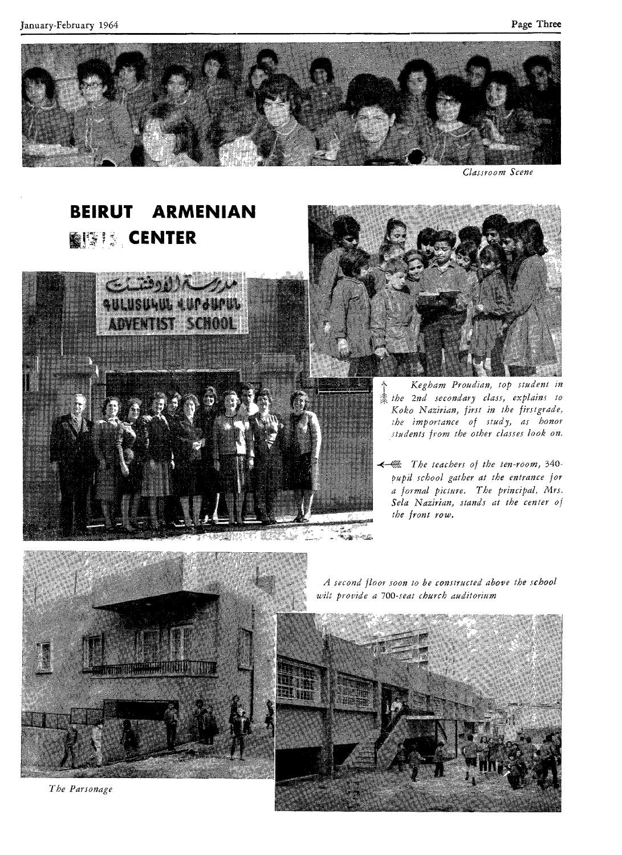

Classroom Scene

# **BEIRUT ARMENIAN BISH** CENTER





- *Kegham Proudian, top student in the 2nd secondary class, explains to Koko Nazirian, first in the firstgrade, the importance of study, as honor students from the other classes look on.*
- *-E-tt The teachers of the ten-room,* 340- *Pupil school gather at the entrance for a formal picture. The principal, Mrs.*  Sela Nazirian, stands at the center of *the front row.*



*The Parsonage* 

*A second floor soon to be constructed above the school wilt provide a 700-seat church auditorium* 

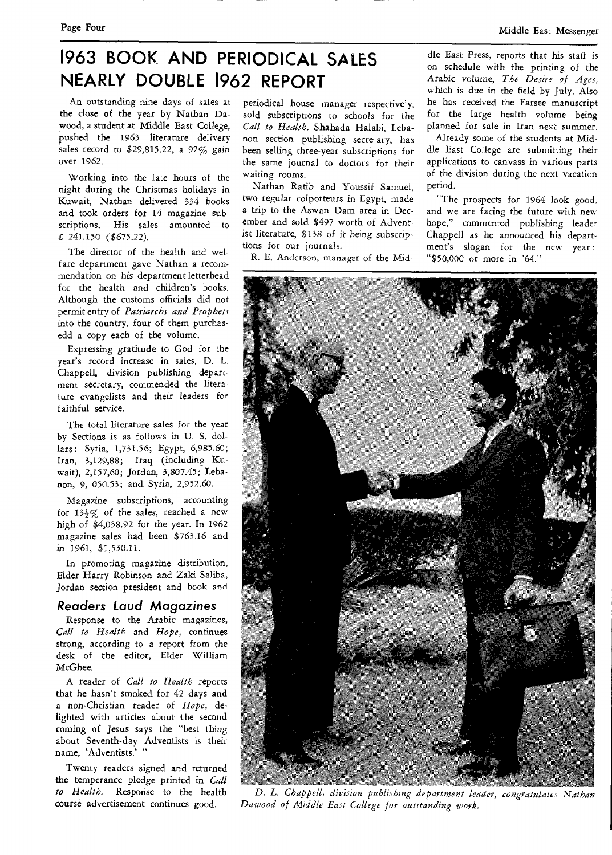## **1963 BOOK AND PERIODICAL SALES NEARLY DOUBLE 1962 REPORT**

An outstanding nine days of sales at the close of the year by Nathan Dawood, a student at Middle East College, pushed the 1963 literature delivery sales record to \$29,815.22, a 92% gain over 1962.

Working into the late hours of the night during the Christmas holidays in Kuwait, Nathan delivered 334 books and took orders for 14 magazine sub scriptions. His sales amounted to £ 241.150 (\$675.22).

The director of the health and welfare department gave Nathan a recommendation on his department letterhead for the health and children's books. Although the customs officials did not permit entry of *Patriarchs and Prophets*  into the country, four of them purchasedd a copy each of the volume.

Expressing gratitude to God for the year's record increase in sales, D. L. Chappell, division publishing department secretary, commended the literature evangelists and their leaders for faithful service.

The total literature sales for the year by Sections is as follows in U. S. dollars: Syria, 1,731.56; Egypt, 6,985.60; Iran, 3,129,88; Iraq (including Kuwait), 2,157,60; Jordan, 3,807.45; Lebanon, 9, 050.53; and Syria, 2,952.60.

Magazine subscriptions, accounting for  $13\frac{1}{2}\%$  of the sales, reached a new high of \$4,038.92 for the year. In 1962 magazine sales had been \$763.16 and in 1961, \$1,530.11.

In promoting magazine distribution, Elder Harry Robinson and Zaki Saliba, Jordan section president and book and

#### **Readers Laud Magazines**

Response to the Arabic magazines, *Call to Health* and *Hope,* continues strong, according to a report from the desk of the editor, Elder William *McGhee.* 

A reader of *Call to Health* reports that he hasn't smoked for 42 days and a non-Christian reader of *Hope,* delighted with articles about the second coming of Jesus says the "best thing about Seventh-day Adventists is their name, 'Adventists.'

Twenty readers signed and returned the temperance pledge printed in *Call to Health,* Response to the health course advertisement continues good.

periodical house manager respectively, sold subscriptions to schools for the *Call to Health.* Shahada Halabi, Lebanon section publishing secre ary, has been selling three-year subscriptions for the same journal to doctors for their waiting rooms.

Nathan Ratib and Youssif Samuel, two regular colporteurs in Egypt, made a trip to the Aswan Dam area in December and sold \$497 worth of Adventist literature, \$138 of it being subscriptions for our journals.

R. E. Anderson, manager of the Mid-

dle East Press, reports that his staff is on schedule with the printing of the Arabic *volume, The Desire of Ages,*  which is due in the field by July. Also he has received the Farsee manuscript for the large health volume being planned for sale in Iran next summer.

Already some of the students at Middle East College are submitting their applications to canvass in various parts of the division during the next vacation period.

"The prospects for 1964 look good, and we are facing the future with new hope," commented publishing leader Chappell *as* he announced his department's slogan for the new year "\$50,000 or more in '64."



*D. L. Chappell, division publishing department leader, congratulates Nathan Dawood of Middle East College for outstanding work.*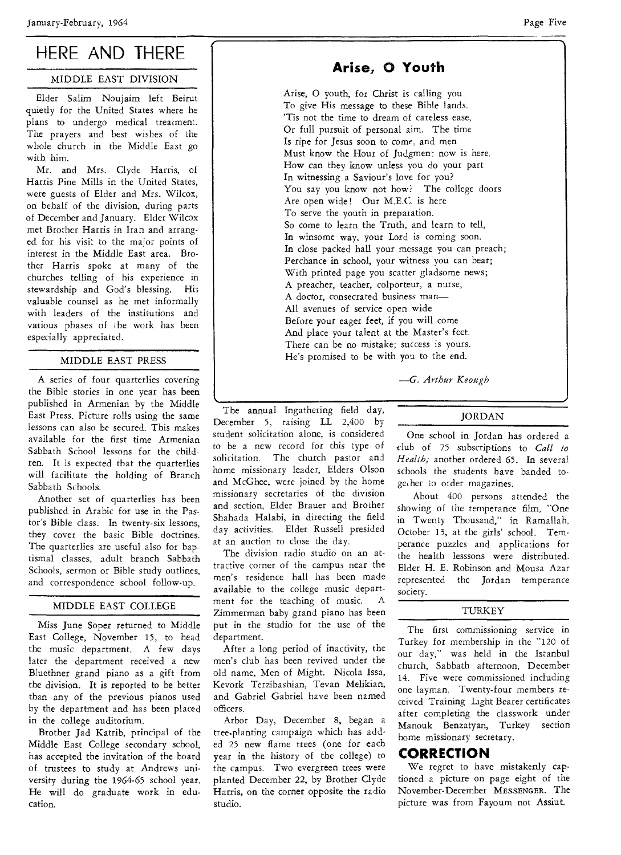## HERE AND THERE

### MIDDLE EAST DIVISION

Elder Salim Noujaim left Beirut quietly for the United States where he plans to undergo medical treatment. The prayers and best wishes of the whole church in the Middle East go with him.

Mr. and Mrs. Clyde Harris, of Harris Pine Mills in the United States, were guests of Elder and Mrs. Wilcox, on behalf of the division, during parts of December and January. Elder Wilcox met Brother Harris in Iran and arranged for his visit to the major points of interest in the Middle East area. Brother Harris spoke at many of the churches telling of his experience in stewardship and God's blessing. His valuable counsel as he met informally with leaders of the institutions and various phases of the work has been especially appreciated.

### MIDDLE EAST PRESS

A series of four quarterlies covering the Bible stories in one year has been published in Armenian by the Middle East Press. Picture rolls using the same lessons can also be secured. This makes available for the first time Armenian Sabbath School lessons for the children. It is expected that the quarterlies will facilitate the holding of Branch Sabbath Schools.

Another set of quarterlies has been published in Arabic for use in the Pastor's Bible class. In twenty-six lessons, they cover the basic Bible doctrines. The quarterlies are useful also for baptismal classes, adult branch Sabbath Schools, sermon or Bible study outlines, and correspondence school follow-up.

### MIDDLE EAST COLLEGE

Miss June Soper returned to Middle East College, November 15, to head the music department. A few days later the department received a new Bluethner grand piano as a gift from the division. It is reported to be better than any of the previous pianos used by the department and has been placed in the college auditorium.

Brother Jad Katrib, principal of the Middle East College secondary school, has accepted the invitation of the board of trustees to study at Andrews university during the 1964-65 school year. He will do graduate work in education.

## **Arise, 0 Youth**

Arise, 0 youth, for Christ is calling you To give His message to these Bible lands. 'Tis not the time to dream of careless ease, Or full pursuit of personal aim. The time Is ripe for Jesus soon to come, and men Must know the Hour of Judgment now is here. How can they know unless you do your part In witnessing a Saviour's love for you? You say you know not how? The college doors Are open wide! Our M.E.C. is here To serve the youth in preparation. So come to learn the Truth, and learn to tell, In winsome way, your Lord is coming soon. In close packed hall your message you can preach; Perchance in school, your witness you can bear; With printed page you scatter gladsome news; A preacher, teacher, colporteur, a nurse, A doctor, consecrated business *man—*  All avenues of service open wide Before your eager feet, if you will come And place your talent at the Master's feet. There can be no mistake; success is yours. He's promised to be with you to the end.

*—G. Arthur Keough* 

The annual Ingathering field day, December 5, raising LL 2,400 by student solicitation alone, is considered to be a new record for this type of solicitation. The church pastor and home missionary leader, Elders Olson and McGhee, were joined by the home missionary secretaries of the division and section, Elder Brauer and Brother Shahada Halabi, in directing the field day activities. Elder Russell presided at an auction to close the day.

The division radio studio on an attractive corner of the campus near the men's residence hall has been made available to the college music department for the teaching of music. A Zimmerman baby grand piano has been put in the studio for the use of the department.

After a long period of inactivity, the men's club has been revived under the old name, Men of Might. Nicola Issa, Kevork Terzibashian, Tevan Melikian, and Gabriel Gabriel have been named officers.

Arbor Day, December 8, began a tree-planting campaign which has added 25 new flame trees (one for each year in the history of the college) to the campus. Two evergreen trees were planted December 22, by Brother Clyde Harris, on the corner opposite the radio studio.

#### JORDAN

One school in Jordan has ordered a club of 75 subscriptions to *Call to Health;* another ordered 65. In several schools the students have banded together to order magazines.

About 400 persons attended the showing of the temperance film, "One in Twenty Thousand," in Ramallah, October 13, at the girls' school. Temperance puzzles and applications for the health lesssons were distributed. Elder H. E. Robinson and Mousa Azar represented the Jordan temperance *society.* 

### TURKEY

The first commissioning service in Turkey for membership in the "120 of our day," was held in the Istanbul church, Sabbath afternoon, December 14. Five were commissioned including one layman. Twenty-four members received Training Light Bearer certificates after completing the classwork under Manouk Benzatyan, Turkey section home missionary secretary.

## **CORRECTION**

We regret to have mistakenly captioned a picture on page eight of the November-December MESSENGER. The picture was from Fayoum not Assiut.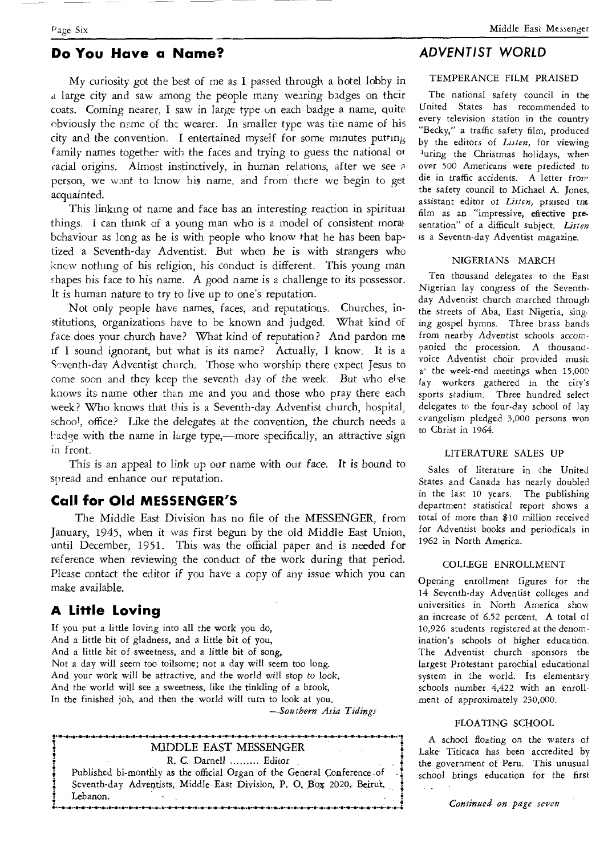## **Do You Have a Name?**

My curiosity got the best of me as I passed through a hotel lobby in a large city and saw among the people many wearing badges on their coats. Coming nearer, I saw in large type on each badge a name, quite obviously the name *of* the wearer. In smaller type was the name of his city and the convention. I entertained myself for some minutes putting family names together with the faces and trying to guess the national or cacial origins. Almost instinctively, in human relations, after we *see*  person, we want to know his name, and from there we begin to get acquainted.

This linking of name and face has an interesting reaction in spiritual things. I can think of a young man who is a model of consistent moral behaviour as long as he is with people who know that he has been baptized a Seventh-day Adventist. But when he is with strangers who knew nothing of his religion, his conduct is different. This young man shapes his face to his name. A good name is a challenge to its possessor. It is human nature to try to live up to one's reputation.

Not only people have names, faces, and reputations. Churches, institutions, organizations have to be known and judged. What kind of face does your church have? What kind of reputation? And pardon me if I sound ignorant, but what is its name? Actually, I know. It is a Seventh-day Adventist church. Those who worship there expect Jesus to come soon and they keep the seventh day of the week. But who else knows its name other than me and you and those who pray there each week? Who knows that this is a Seventh-day Adventist church, hospital, schoo<sup>1</sup>, office? Like the delegates at the convention, the church needs a badge with the name in large type,—more specifically, an attractive sign in front.

This is an appeal to link up our name with our face. It is bound to spread and enhance our reputation.

## **Call for Old MESSENGER'S**

The Middle East Division has no file of the MESSENGER, from January, 1945, when it was first begun by the old Middle East Union, until December, 1951. This was the official paper and is needed for reference when reviewing the conduct of the work during that period. Please contact the editor if you have a copy of any issue which you can make available.

## **A Little Loving**

If you put a little loving into all the work you do, And a little bit of gladness, and a little bit of you, And a little bit of sweetness, and a little bit of song, Not a day will seem too toilsome; not a day will seem too long. And your work will be attractive, and the world will stop to look, And the world will see a sweetness, like the tinkling of a brook, In the finished job, and then the world will turn to look at you. *—Southern Asia Tidings* 

### MIDDLE EAST MESSENGER R. C. Darnell ......... Editor Published bi-monthly as the official Organ of the General Conference of Seventh-day Adventists, Middle East Division, P. O. Box 2020, Beirut, Lebanon. **4.............0.0.41.0.4.0\*0.4.4.11.0.11.................41.0.4...........................»..............1**

## **ADVENTIST WORLD**

#### TEMPERANCE FILM PRAISED

The national safety council in the United States has recommended to every television station in the country "Becky," a traffic safety film, produced by the editors of *Listen,* for viewing luring the Christmas holidays, when over 500 Americans were predicted to die in traffic accidents. A letter from the safety council to Michael A. Jones, assistant editor of Listen, praised tne film as an "impressive, eftective pre. sentation" of a difficult subject. *Listen*  is a Seventn-day Adventist magazine.

#### NIGERIANS MARCH

Ten thousand delegates to the East Nigerian lay congress of the Seventhday Adventist church marched through the streets of Aba, East Nigeria, singing gospel hymns. Three brass bands from nearby Adventist schools *accompanied* the procession. A thousandvoice Adventist choir provided music a' the week-end meetings when 15,000 lay workers gathered in the city's sports stadium. Three hundred select delegates to the four-day school of lay evangelism pledged 3,000 persons won to Christ in 1964.

#### LITERATURE SALES UP

Sales of literature in the United States and Canada has nearly doubled in the last 10 years. The publishing department statistical report shows a total of more than \$10 million received for Adventist books and periodicals in 1962 in North America.

#### COLLEGE ENROLLMENT

Opening enrollment figures for the 14 Seventh-day Adventist colleges and universities in North America show an increase of 6.52 percent. A total of 10,926 students registered at the denomination's schools of higher education. The Adventist church sponsors the largest Protestant parochial educational system in the world. Its elementary schools number 4,422 with an enrollment of approximately 230,000.

#### FLOATING SCHOOL

A school floating on the waters of Lake Titicaca has been accredited by the government of Peru. This unusual school brings education for the first

*Continued* on *page seven*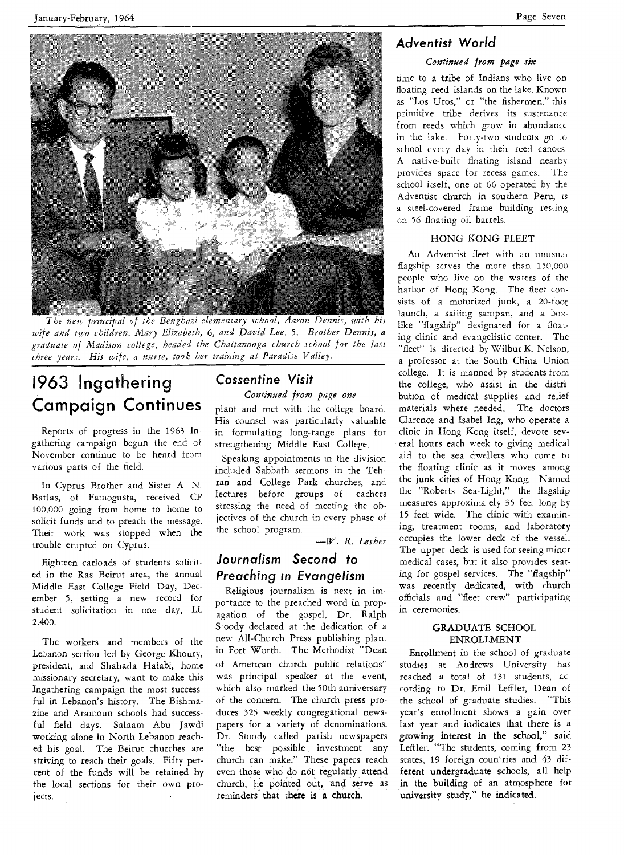January-February, 1964 Page Seven



The new principal of the Benghazi elementary school, Aaron Dennis, with his *wife and two children, Mary Elizabeth,* 6, *and David Lee,* 5. *Brother Dennis, a graduate of Madison college, headed the Chattanooga church school for the last three years. His wife, a nurse, took her training at Paradise Valley.* 

## **1963 Ingathering Campaign Continues**

Reports of progress in the 1963 Ingathering campaign begun the end of November continue to be heard from various parts of the field.

In Cyprus Brother and Sister A. N. Barlas, of Famogusta, received CP 100.000 going from home to home to solicit funds and to preach the message. Their work was stopped when the trouble erupted on Cyprus.

Eighteen carloads of students solicited in the Ras Beirut area, the annual Middle East College Field Day, December 5, setting a new record for student solicitation in one day, LL 2.400.

The workers and members of the Lebanon section led by George Khoury, president, and Shahada Halabi, home missionary secretary, want to make this Ingathering campaign the most successful in Lebanon's history. The Bishmazine and Aramoun schools had successful field days. Salaam Abu Jawdi working alone in North Lebanon reached his goal. The Beirut churches are striving to reach their goals. Fifty percent of the funds will be retained by the local sections for their own projects.

## **Cossentine Visit**

*Continued from page one* 

plant and met with the college board. His counsel was particularly valuable in formulating long-range plans for strengthening Middle East College.

Speaking appointments in the division included Sabbath sermons in the Tehran and College Park churches, and lectures before groups of teachers stressing the need of meeting the objectives of the church in every phase of the school program.

—W. *R. Lesher* 

## **Journalism Second to Preaching in Evangelism**

Religious journalism is next in importance to the preached word in propagation of the gospel, Dr. Ralph Stoody declared at the dedication of a new All-Church Press publishing plant in Fort Worth. The Methodist "Dean of American church public relations" was principal speaker at the event, which also marked the 50th anniversary of the concern. The church press produces 325 weekly congregational newspapers for a variety of denominations. Dr. Stoody called parish newspapers "the best possible investment any church can make." These papers reach even those who do not regularly attend church, he pointed out, and serve as reminders that there is a church.

## **Adventist World**

### *Continued from page six*

time to a tribe of Indians who live on floating reed islands on the lake. Known as "Los Uros," or "the fishermen," this primitive tribe derives its sustenance from reeds which grow in abundance in the lake. Forty-two students go to school every day in their reed canoes. A native-built floating island nearby provides space for recess games. The school itself, one of 66 operated by the Adventist church in southern Peru, is a steel-covered frame building resting on 56 floating oil barrels.

### HONG KONG FLEET

An Adventist fleet with an unusual flagship serves the more than 150,000 people who live on the waters of the harbor of Hong Kong. The fleet consists of a motorized junk, a 20-foot launch, a sailing sampan, and a boxlike "flagship" designated for a floating clinic and evangelistic center. The "fleet" is directed by Wilbur K. Nelson, a professor at the South China Union college. It is manned by students from the college, who assist in the distribution of medical supplies and relief materials where needed. The doctors Clarence and Isabel Ing, who operate a clinic in Hong Kong itself, devote several hours each week to giving medical aid to the sea dwellers who come to the floating clinic as it moves among the junk cities of Hong Kong. Named the "Roberts Sea-Light," the flagship measures approxima ely 35 feet long by 15 feet wide. The clinic with examining, treatment rooms, and laboratory occupies the lower deck of the vessel. The upper deck is used for seeing minor medical cases, but it also provides seating for gospel services. The "flagship" was recently dedicated, with church officials and "fleet crew" participating in ceremonies.

#### GRADUATE SCHOOL ENROLLMENT

Enrollment in the school of graduate studies at Andrews University has reached a total of 131 students, according to Dr. Emil Leffler, Dean of the school of graduate studies. "This year's enrollment shows a gain over last year and indicates that there is a growing interest in the school," said Leffler. "The students, coming from 23 states, 19 foreign coun`ries and 43 different undergraduate schools, all help in the building of an atmosphere for university study," he indicated.